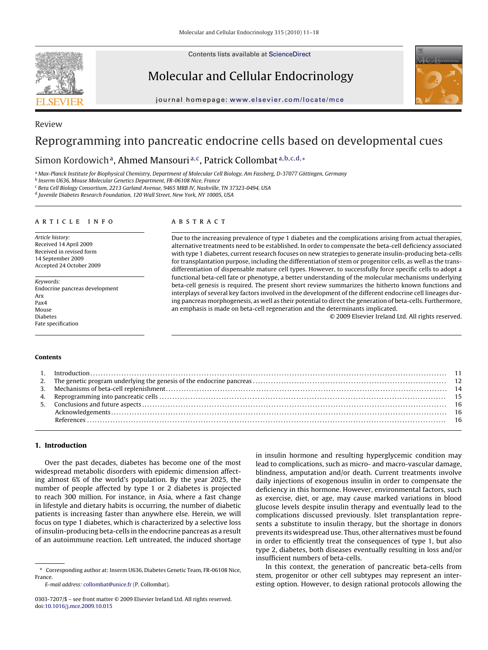Contents lists available at [ScienceDirect](http://www.sciencedirect.com/science/journal/03037207)



Review

Molecular and Cellular Endocrinology



journal homepage: [www.elsevier.com/locate/mce](http://www.elsevier.com/locate/mce)

# Reprogramming into pancreatic endocrine cells based on developmental cues

Simon Kordowich<sup>a</sup>, Ahmed Mansouri<sup>a,c</sup>, Patrick Collombat<sup>a,b,c,d,∗</sup>

<sup>a</sup> Max-Planck Institute for Biophysical Chemistry, Department of Molecular Cell Biology, Am Fassberg, D-37077 Göttingen, Germany

<sup>b</sup> Inserm U636, Mouse Molecular Genetics Department, FR-06108 Nice, France

<sup>c</sup> Beta Cell Biology Consortium, 2213 Garland Avenue, 9465 MRB IV, Nashville, TN 37323-0494, USA

<sup>d</sup> Juvenile Diabetes Research Foundation, 120 Wall Street, New York, NY 10005, USA

### ARTICLE INFO

Article history: Received 14 April 2009 Received in revised form 14 September 2009 Accepted 24 October 2009

Keywords: Endocrine pancreas development Arx Pax4 Mouse Diabetes Fate specification

# **ABSTRACT**

Due to the increasing prevalence of type 1 diabetes and the complications arising from actual therapies, alternative treatments need to be established. In order to compensate the beta-cell deficiency associated with type 1 diabetes, current research focuses on new strategies to generate insulin-producing beta-cells for transplantation purpose, including the differentiation of stem or progenitor cells, as well as the transdifferentiation of dispensable mature cell types. However, to successfully force specific cells to adopt a functional beta-cell fate or phenotype, a better understanding of the molecular mechanisms underlying beta-cell genesis is required. The present short review summarizes the hitherto known functions and interplays of several key factors involved in the development of the different endocrine cell lineages during pancreas morphogenesis, as well as their potential to direct the generation of beta-cells. Furthermore, an emphasis is made on beta-cell regeneration and the determinants implicated.

© 2009 Elsevier Ireland Ltd. All rights reserved.

#### **Contents**

## **1. Introduction**

Over the past decades, diabetes has become one of the most widespread metabolic disorders with epidemic dimension affecting almost 6% of the world's population. By the year 2025, the number of people affected by type 1 or 2 diabetes is projected to reach 300 million. For instance, in Asia, where a fast change in lifestyle and dietary habits is occurring, the number of diabetic patients is increasing faster than anywhere else. Herein, we will focus on type 1 diabetes, which is characterized by a selective loss of insulin-producing beta-cells in the endocrine pancreas as a result of an autoimmune reaction. Left untreated, the induced shortage

in insulin hormone and resulting hyperglycemic condition may lead to complications, such as micro- and macro-vascular damage, blindness, amputation and/or death. Current treatments involve daily injections of exogenous insulin in order to compensate the deficiency in this hormone. However, environmental factors, such as exercise, diet, or age, may cause marked variations in blood glucose levels despite insulin therapy and eventually lead to the complications discussed previously. Islet transplantation represents a substitute to insulin therapy, but the shortage in donors prevents its widespread use. Thus, other alternatives must be found in order to efficiently treat the consequences of type 1, but also type 2, diabetes, both diseases eventually resulting in loss and/or insufficient numbers of beta-cells.

In this context, the generation of pancreatic beta-cells from stem, progenitor or other cell subtypes may represent an interesting option. However, to design rational protocols allowing the

<sup>∗</sup> Corresponding author at: Inserm U636, Diabetes Genetic Team, FR-06108 Nice, France.

E-mail address: [collombat@unice.fr](mailto:collombat@unice.fr) (P. Collombat).

<sup>0303-7207/\$ –</sup> see front matter © 2009 Elsevier Ireland Ltd. All rights reserved. doi:[10.1016/j.mce.2009.10.015](dx.doi.org/10.1016/j.mce.2009.10.015)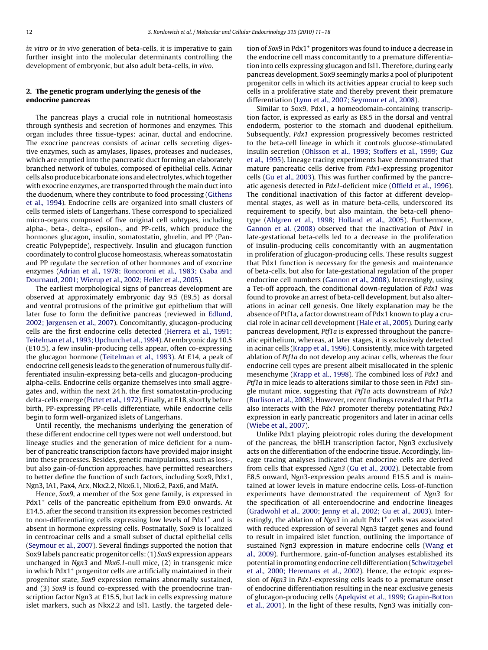in vitro or in vivo generation of beta-cells, it is imperative to gain further insight into the molecular determinants controlling the development of embryonic, but also adult beta-cells, in vivo.

# **2. The genetic program underlying the genesis of the endocrine pancreas**

The pancreas plays a crucial role in nutritional homeostasis through synthesis and secretion of hormones and enzymes. This organ includes three tissue-types: acinar, ductal and endocrine. The exocrine pancreas consists of acinar cells secreting digestive enzymes, such as amylases, lipases, proteases and nucleases, which are emptied into the pancreatic duct forming an elaborately branched network of tubules, composed of epithelial cells. Acinar cells also produce bicarbonate ions and electrolytes, which together with exocrine enzymes, are transported through the main duct into the duodenum, where they contribute to food processing ([Githens](#page-6-0) [et al., 1994\).](#page-6-0) Endocrine cells are organized into small clusters of cells termed islets of Langerhans. These correspond to specialized micro-organs composed of five original cell subtypes, including alpha-, beta-, delta-, epsilon-, and PP-cells, which produce the hormones glucagon, insulin, somatostatin, ghrelin, and PP (Pancreatic Polypeptide), respectively. Insulin and glucagon function coordinately to control glucose homeostasis, whereas somatostatin and PP regulate the secretion of other hormones and of exocrine enzymes [\(Adrian et al., 1978; Roncoroni et al., 1983; Csaba and](#page-5-0) [Dournaud, 2001; Wierup et al., 2002; Heller et al., 2005\).](#page-5-0)

The earliest morphological signs of pancreas development are observed at approximately embryonic day 9.5 (E9.5) as dorsal and ventral protrusions of the primitive gut epithelium that will later fuse to form the definitive pancreas (reviewed in [Edlund,](#page-6-0) [2002; Jørgensen et al., 2007\).](#page-6-0) Concomitantly, glucagon-producing cells are the first endocrine cells detected ([Herrera et al., 1991;](#page-6-0) [Teitelman et al., 1993; Upchurch et al., 1994\).](#page-6-0) At embryonic day 10.5 (E10.5), a few insulin-producing cells appear, often co-expressing the glucagon hormone [\(Teitelman et al., 1993\).](#page-7-0) At E14, a peak of endocrine cell genesis leads to the generation of numerous fully differentiated insulin-expressing beta-cells and glucagon-producing alpha-cells. Endocrine cells organize themselves into small aggregates and, within the next 24 h, the first somatostatin-producing delta-cells emerge ([Pictet et al., 1972\).](#page-6-0) Finally, at E18, shortly before birth, PP-expressing PP-cells differentiate, while endocrine cells begin to form well-organized islets of Langerhans.

Until recently, the mechanisms underlying the generation of these different endocrine cell types were not well understood, but lineage studies and the generation of mice deficient for a number of pancreatic transcription factors have provided major insight into these processes. Besides, genetic manipulations, such as loss-, but also gain-of-function approaches, have permitted researchers to better define the function of such factors, including Sox9, Pdx1, Ngn3, IA1, Pax4, Arx, Nkx2.2, Nkx6.1, Nkx6.2, Pax6, and MafA.

Hence, Sox9, a member of the Sox gene family, is expressed in Pdx1<sup>+</sup> cells of the pancreatic epithelium from E9.0 onwards. At E14.5, after the second transition its expression becomes restricted to non-differentiating cells expressing low levels of  $Pdx1<sup>+</sup>$  and is absent in hormone expressing cells. Postnatally, Sox9 is localized in centroacinar cells and a small subset of ductal epithelial cells ([Seymour et al., 2007\).](#page-6-0) Several findings supported the notion that Sox9 labels pancreatic progenitor cells: (1) Sox9 expression appears unchanged in Ngn3 and Nkx6.1-null mice, (2) in transgenic mice in which Pdx1<sup>+</sup> progenitor cells are artificially maintained in their progenitor state, Sox9 expression remains abnormally sustained, and (3) Sox9 is found co-expressed with the proendocrine transcription factor Ngn3 at E15.5, but lack in cells expressing mature islet markers, such as Nkx2.2 and Isl1. Lastly, the targeted deletion of Sox9 in Pdx1+ progenitors was found to induce a decrease in the endocrine cell mass concomitantly to a premature differentiation into cells expressing glucagon and Isl1. Therefore, during early pancreas development, Sox9 seemingly marks a pool of pluripotent progenitor cells in which its activities appear crucial to keep such cells in a proliferative state and thereby prevent their premature differentiation ([Lynn et al., 2007; Seymour et al., 2008\).](#page-6-0)

Similar to Sox9, Pdx1, a homeodomain-containing transcription factor, is expressed as early as E8.5 in the dorsal and ventral endoderm, posterior to the stomach and duodenal epithelium. Subsequently, Pdx1 expression progressively becomes restricted to the beta-cell lineage in which it controls glucose-stimulated insulin secretion [\(Ohlsson et al., 1993; Stoffers et al., 1999; Guz](#page-6-0) [et al., 1995\).](#page-6-0) Lineage tracing experiments have demonstrated that mature pancreatic cells derive from Pdx1-expressing progenitor cells [\(Gu et al., 2003\).](#page-6-0) This was further confirmed by the pancreatic agenesis detected in Pdx1-deficient mice [\(Offield et al., 1996\).](#page-6-0) The conditional inactivation of this factor at different developmental stages, as well as in mature beta-cells, underscored its requirement to specify, but also maintain, the beta-cell phenotype ([Ahlgren et al., 1998; Holland et al., 2005\).](#page-5-0) Furthermore, [Gannon et al. \(2008\)](#page-6-0) observed that the inactivation of Pdx1 in late-gestational beta-cells led to a decrease in the proliferation of insulin-producing cells concomitantly with an augmentation in proliferation of glucagon-producing cells. These results suggest that Pdx1 function is necessary for the genesis and maintenance of beta-cells, but also for late-gestational regulation of the proper endocrine cell numbers [\(Gannon et al., 2008\).](#page-6-0) Interestingly, using a Tet-off approach, the conditional down-regulation of Pdx1 was found to provoke an arrest of beta-cell development, but also alterations in acinar cell genesis. One likely explanation may be the absence of Ptf1a, a factor downstream of Pdx1 known to play a crucial role in acinar cell development ([Hale et al., 2005\).](#page-6-0) During early pancreas development, Ptf1a is expressed throughout the pancreatic epithelium, whereas, at later stages, it is exclusively detected in acinar cells ([Krapp et al., 1996\).](#page-6-0) Consistently, mice with targeted ablation of Ptf1a do not develop any acinar cells, whereas the four endocrine cell types are present albeit misallocated in the splenic mesenchyme ([Krapp et al., 1998\).](#page-6-0) The combined loss of Pdx1 and Ptf1a in mice leads to alterations similar to those seen in  $Pdx1$  single mutant mice, suggesting that Ptf1a acts downstream of Pdx1 [\(Burlison et al., 2008\).](#page-5-0) However, recent findings revealed that Ptf1a also interacts with the Pdx1 promoter thereby potentiating Pdx1 expression in early pancreatic progenitors and later in acinar cells [\(Wiebe et al., 2007\).](#page-7-0)

Unlike Pdx1 playing pleiotropic roles during the development of the pancreas, the bHLH transcription factor, Ngn3 exclusively acts on the differentiation of the endocrine tissue. Accordingly, lineage tracing analyses indicated that endocrine cells are derived from cells that expressed Ngn3 ([Gu et al., 2002\).](#page-6-0) Detectable from E8.5 onward, Ngn3-expression peaks around E15.5 and is maintained at lower levels in mature endocrine cells. Loss-of-function experiments have demonstrated the requirement of Ngn3 for the specification of all enteroendocrine and endocrine lineages [\(Gradwohl et al., 2000; Jenny et al., 2002; Gu et al., 2003\).](#page-6-0) Interestingly, the ablation of Ngn3 in adult  $Pdx1<sup>+</sup>$  cells was associated with reduced expression of several Ngn3 target genes and found to result in impaired islet function, outlining the importance of sustained Ngn3 expression in mature endocrine cells [\(Wang et](#page-7-0) [al., 2009\).](#page-7-0) Furthermore, gain-of-function analyses established its potential in promoting endocrine cell differentiation [\(Schwitzgebel](#page-6-0) [et al., 2000; Heremans et al., 2002\).](#page-6-0) Hence, the ectopic expression of Ngn3 in Pdx1-expressing cells leads to a premature onset of endocrine differentiation resulting in the near exclusive genesis of glucagon-producing cells ([Apelqvist et al., 1999; Grapin-Botton](#page-5-0) [et al., 2001\).](#page-5-0) In the light of these results, Ngn3 was initially con-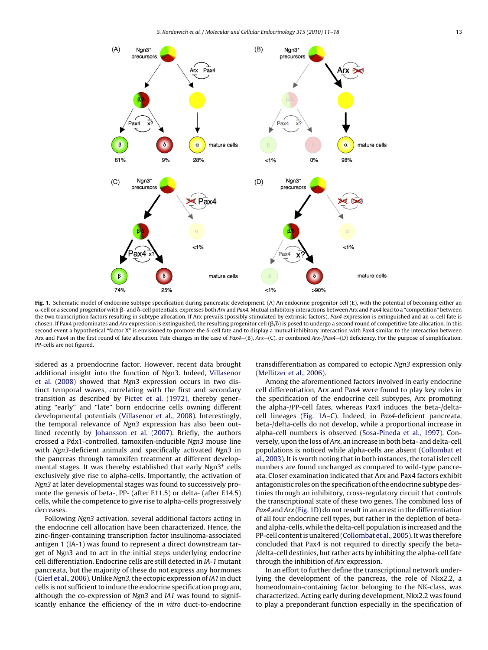

Fig. 1. Schematic model of endocrine subtype specification during pancreatic development. (A) An endocrine progenitor cell (E), with the potential of becoming either an α-cell or a second progenitor with β- and δ-cell potentials, expresses both Arx and Pax4. Mutual inhibitory interactions between Arx and Pax4 lead to a "competition" between the two transcription factors resulting in subtype allocation. If Arx prevails (possibly stimulated by extrinsic factors), Pax4 expression is extinguished and an α-cell fate is chosen. If Pax4 predominates and Arx expression is extinguished, the resulting progenitor cell  $(\beta/\delta)$  is posed to undergo a second round of competitive fate allocation. In this second event a hypothetical "factor X" is envisioned to promote the  $\delta$ -cell fate and to display a mutual inhibitory interaction with Pax4 similar to the interaction between Arx and Pax4 in the first round of fate allocation. Fate changes in the case of Pax4–(B), Arx–(C), or combined Arx-/Pax4–(D) deficiency. For the purpose of simplification, PP-cells are not figured.

sidered as a proendocrine factor. However, recent data brought additional insight into the function of Ngn3. Indeed, [Villasenor](#page-7-0) [et al. \(2008\)](#page-7-0) showed that Ngn3 expression occurs in two distinct temporal waves, correlating with the first and secondary transition as described by [Pictet et al. \(1972\),](#page-6-0) thereby generating "early" and "late" born endocrine cells owning different developmental potentials [\(Villasenor et al., 2008\).](#page-7-0) Interestingly, the temporal relevance of Ngn3 expression has also been outlined recently by [Johansson et al. \(2007\).](#page-6-0) Briefly, the authors crossed a Pdx1-controlled, tamoxifen-inducible Ngn3 mouse line with Ngn3-deficient animals and specifically activated Ngn3 in the pancreas through tamoxifen treatment at different developmental stages. It was thereby established that early Ngn3+ cells exclusively give rise to alpha-cells. Importantly, the activation of Ngn3 at later developmental stages was found to successively promote the genesis of beta-, PP- (after E11.5) or delta- (after E14.5) cells, while the competence to give rise to alpha-cells progressively decreases.

Following Ngn3 activation, several additional factors acting in the endocrine cell allocation have been characterized. Hence, the zinc-finger-containing transcription factor insulinoma-associated antigen 1 (IA-1) was found to represent a direct downstream target of Ngn3 and to act in the initial steps underlying endocrine cell differentiation. Endocrine cells are still detected in IA-1 mutant pancreata, but the majority of these do not express any hormones ([Gierl et al., 2006\).](#page-6-0) Unlike Ngn3, the ectopic expression of IA1 in duct cells is not sufficient to induce the endocrine specification program, although the co-expression of Ngn3 and IA1 was found to significantly enhance the efficiency of the in vitro duct-to-endocrine

transdifferentiation as compared to ectopic Ngn3 expression only [\(Mellitzer et al., 2006\).](#page-6-0)

Among the aforementioned factors involved in early endocrine cell differentiation, Arx and Pax4 were found to play key roles in the specification of the endocrine cell subtypes, Arx promoting the alpha-/PP-cell fates, whereas Pax4 induces the beta-/deltacell lineages (Fig. 1A–C). Indeed, in Pax4-deficient pancreata, beta-/delta-cells do not develop, while a proportional increase in alpha-cell numbers is observed [\(Sosa-Pineda et al., 1997\).](#page-6-0) Conversely, upon the loss of Arx, an increase in both beta- and delta-cell populations is noticed while alpha-cells are absent [\(Collombat et](#page-5-0) [al., 2003\).](#page-5-0) It is worth noting that in both instances, the total islet cell numbers are found unchanged as compared to wild-type pancreata. Closer examination indicated that Arx and Pax4 factors exhibit antagonistic roles on the specification of the endocrine subtype destinies through an inhibitory, cross-regulatory circuit that controls the transcriptional state of these two genes. The combined loss of Pax4 and Arx (Fig. 1D) do not result in an arrest in the differentiation of all four endocrine cell types, but rather in the depletion of betaand alpha-cells, while the delta-cell population is increased and the PP-cell content is unaltered ([Collombat et al., 2005\).](#page-5-0) It was therefore concluded that Pax4 is not required to directly specify the beta- /delta-cell destinies, but rather acts by inhibiting the alpha-cell fate through the inhibition of Arx expression.

In an effort to further define the transcriptional network underlying the development of the pancreas, the role of Nkx2.2, a homeodomain-containing factor belonging to the NK-class, was characterized. Acting early during development, Nkx2.2 was found to play a preponderant function especially in the specification of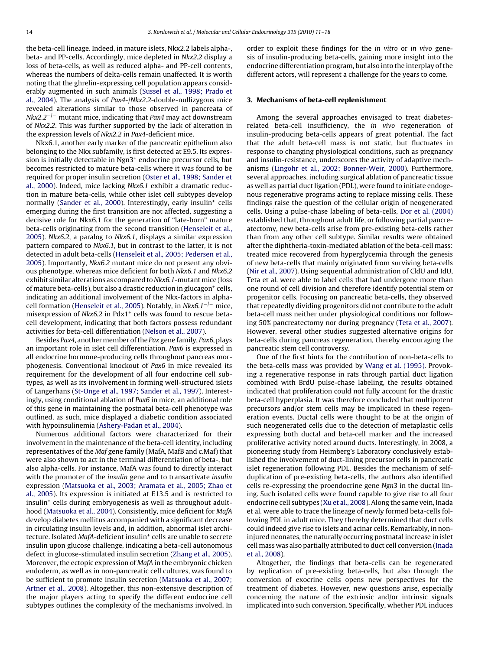the beta-cell lineage. Indeed, in mature islets, Nkx2.2 labels alpha-, beta- and PP-cells. Accordingly, mice depleted in Nkx2.2 display a loss of beta-cells, as well as reduced alpha- and PP-cell contents, whereas the numbers of delta-cells remain unaffected. It is worth noting that the ghrelin-expressing cell population appears considerably augmented in such animals ([Sussel et al., 1998; Prado et](#page-7-0) [al., 2004\).](#page-7-0) The analysis of Pax4-/Nkx2.2-double-nullizygous mice revealed alterations similar to those observed in pancreata of  $Nkx2.2^{-/-}$  mutant mice, indicating that Pax4 may act downstream of Nkx2.2. This was further supported by the lack of alteration in the expression levels of Nkx2.2 in Pax4-deficient mice.

Nkx6.1, another early marker of the pancreatic epithelium also belonging to the Nkx subfamily, is first detected at E9.5. Its expression is initially detectable in Ngn3<sup>+</sup> endocrine precursor cells, but becomes restricted to mature beta-cells where it was found to be required for proper insulin secretion [\(Oster et al., 1998; Sander et](#page-6-0) [al., 2000\).](#page-6-0) Indeed, mice lacking Nkx6.1 exhibit a dramatic reduction in mature beta-cells, while other islet cell subtypes develop normally [\(Sander et al., 2000\).](#page-6-0) Interestingly, early insulin<sup>+</sup> cells emerging during the first transition are not affected, suggesting a decisive role for Nkx6.1 for the generation of "late-born" mature beta-cells originating from the second transition [\(Henseleit et al.,](#page-6-0) [2005\).](#page-6-0) Nkx6.2, a paralog to Nkx6.1, displays a similar expression pattern compared to Nkx6.1, but in contrast to the latter, it is not detected in adult beta-cells [\(Henseleit et al., 2005; Pedersen et al.,](#page-6-0) [2005\).](#page-6-0) Importantly, Nkx6.2 mutant mice do not present any obvious phenotype, whereas mice deficient for both Nkx6.1 and Nkx6.2 exhibit similar alterations as compared to Nkx6.1-mutant mice (loss of mature beta-cells), but also a drastic reduction in glucagon<sup>+</sup> cells, indicating an additional involvement of the Nkx-factors in alpha-cell formation [\(Henseleit et al., 2005\).](#page-6-0) Notably, in Nkx6.1<sup>-/-</sup> mice, misexpression of Nkx6.2 in Pdx1<sup>+</sup> cells was found to rescue betacell development, indicating that both factors possess redundant activities for beta-cell differentiation [\(Nelson et al., 2007\).](#page-6-0)

Besides Pax4, another member of the Pax gene family, Pax6, plays an important role in islet cell differentiation. Pax6 is expressed in all endocrine hormone-producing cells throughout pancreas morphogenesis. Conventional knockout of Pax6 in mice revealed its requirement for the development of all four endocrine cell subtypes, as well as its involvement in forming well-structured islets of Langerhans [\(St-Onge et al., 1997; Sander et al., 1997\).](#page-6-0) Interestingly, using conditional ablation of Pax6 in mice, an additional role of this gene in maintaining the postnatal beta-cell phenotype was outlined, as such, mice displayed a diabetic condition associated with hypoinsulinemia [\(Ashery-Padan et al., 2004\).](#page-5-0)

Numerous additional factors were characterized for their involvement in the maintenance of the beta-cell identity, including representatives of the Maf gene family (MafA, MafB and c.Maf) that were also shown to act in the terminal differentiation of beta-, but also alpha-cells. For instance, MafA was found to directly interact with the promoter of the insulin gene and to transactivate insulin expression [\(Matsuoka et al., 2003; Aramata et al., 2005; Zhao et](#page-6-0) [al., 2005\).](#page-6-0) Its expression is initiated at E13.5 and is restricted to insulin<sup>+</sup> cells during embryogenesis as well as throughout adulthood [\(Matsuoka et al., 2004\).](#page-6-0) Consistently, mice deficient for MafA develop diabetes mellitus accompanied with a significant decrease in circulating insulin levels and, in addition, abnormal islet architecture. Isolated MafA-deficient insulin+ cells are unable to secrete insulin upon glucose challenge, indicating a beta-cell autonomous defect in glucose-stimulated insulin secretion [\(Zhang et al., 2005\).](#page-7-0) Moreover, the ectopic expression of MafA in the embryonic chicken endoderm, as well as in non-pancreatic cell cultures, was found to be sufficient to promote insulin secretion ([Matsuoka et al., 2007;](#page-6-0) [Artner et al., 2008\).](#page-6-0) Altogether, this non-extensive description of the major players acting to specify the different endocrine cell subtypes outlines the complexity of the mechanisms involved. In

order to exploit these findings for the in vitro or in vivo genesis of insulin-producing beta-cells, gaining more insight into the endocrine differentiation program, but also into the interplay of the different actors, will represent a challenge for the years to come.

## **3. Mechanisms of beta-cell replenishment**

Among the several approaches envisaged to treat diabetesrelated beta-cell insufficiency, the in vivo regeneration of insulin-producing beta-cells appears of great potential. The fact that the adult beta-cell mass is not static, but fluctuates in response to changing physiological conditions, such as pregnancy and insulin-resistance, underscores the activity of adaptive mechanisms [\(Lingohr et al., 2002; Bonner-Weir, 2000\).](#page-6-0) Furthermore, several approaches, including surgical ablation of pancreatic tissue as well as partial duct ligation (PDL), were found to initiate endogenous regenerative programs acting to replace missing cells. These findings raise the question of the cellular origin of neogenerated cells. Using a pulse-chase labeling of beta-cells, [Dor et al. \(2004\)](#page-6-0) established that, throughout adult life, or following partial pancreatectomy, new beta-cells arise from pre-existing beta-cells rather than from any other cell subtype. Similar results were obtained after the diphtheria-toxin-mediated ablation of the beta-cell mass: treated mice recovered from hyperglycemia through the genesis of new beta-cells that mainly originated from surviving beta-cells [\(Nir et al., 2007\).](#page-6-0) Using sequential administration of CldU and IdU, Teta et al. were able to label cells that had undergone more than one round of cell division and therefore identify potential stem or progenitor cells. Focusing on pancreatic beta-cells, they observed that repeatedly dividing progenitors did not contribute to the adult beta-cell mass neither under physiological conditions nor following 50% pancreatectomy nor during pregnancy ([Teta et al., 2007\).](#page-7-0) However, several other studies suggested alternative origins for beta-cells during pancreas regeneration, thereby encouraging the pancreatic stem cell controversy.

One of the first hints for the contribution of non-beta-cells to the beta-cells mass was provided by [Wang et al. \(1995\). P](#page-7-0)rovoking a regenerative response in rats through partial duct ligation combined with BrdU pulse-chase labeling, the results obtained indicated that proliferation could not fully account for the drastic beta-cell hyperplasia. It was therefore concluded that multipotent precursors and/or stem cells may be implicated in these regeneration events. Ductal cells were thought to be at the origin of such neogenerated cells due to the detection of metaplastic cells expressing both ductal and beta-cell marker and the increased proliferative activity noted around ducts. Interestingly, in 2008, a pioneering study from Heimberg's Laboratory conclusively established the involvement of duct-lining precursor cells in pancreatic islet regeneration following PDL. Besides the mechanism of selfduplication of pre-existing beta-cells, the authors also identified cells re-expressing the proendocrine gene Ngn3 in the ductal lining. Such isolated cells were found capable to give rise to all four endocrine cell subtypes [\(Xu et al., 2008\).](#page-7-0) Along the same vein, Inada et al. were able to trace the lineage of newly formed beta-cells following PDL in adult mice. They thereby determined that duct cells could indeed give rise to islets and acinar cells. Remarkably, in noninjured neonates, the naturally occurring postnatal increase in islet cell mass was also partially attributed to duct cell conversion ([Inada](#page-6-0) [et al., 2008\).](#page-6-0)

Altogether, the findings that beta-cells can be regenerated by replication of pre-existing beta-cells, but also through the conversion of exocrine cells opens new perspectives for the treatment of diabetes. However, new questions arise, especially concerning the nature of the extrinsic and/or intrinsic signals implicated into such conversion. Specifically, whether PDL induces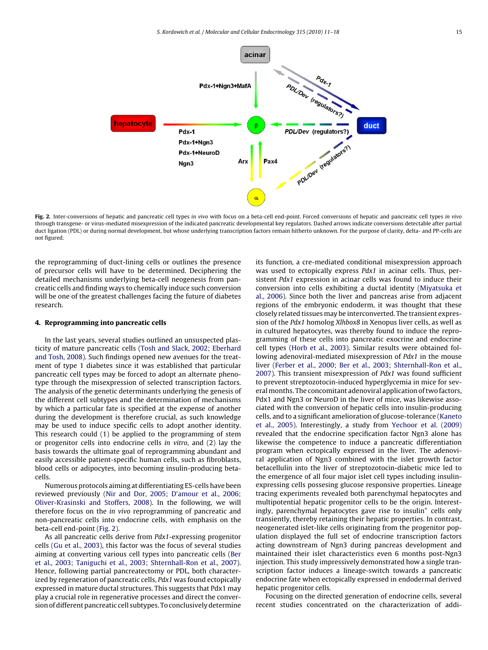

Fig. 2. Inter-conversions of hepatic and pancreatic cell types in vivo with focus on a beta-cell end-point. Forced conversions of hepatic and pancreatic cell types in vivo through transgene- or virus-mediated misexpression of the indicated pancreatic developmental key regulators. Dashed arrows indicate conversions detectable after partial duct ligation (PDL) or during normal development, but whose underlying transcription factors remain hitherto unknown. For the purpose of clarity, delta- and PP-cells are not figured.

the reprogramming of duct-lining cells or outlines the presence of precursor cells will have to be determined. Deciphering the detailed mechanisms underlying beta-cell neogenesis from pancreatic cells and finding ways to chemically induce such conversion will be one of the greatest challenges facing the future of diabetes research.

### **4. Reprogramming into pancreatic cells**

In the last years, several studies outlined an unsuspected plasticity of mature pancreatic cells ([Tosh and Slack, 2002; Eberhard](#page-7-0) [and Tosh, 2008\).](#page-7-0) Such findings opened new avenues for the treatment of type 1 diabetes since it was established that particular pancreatic cell types may be forced to adopt an alternate phenotype through the misexpression of selected transcription factors. The analysis of the genetic determinants underlying the genesis of the different cell subtypes and the determination of mechanisms by which a particular fate is specified at the expense of another during the development is therefore crucial, as such knowledge may be used to induce specific cells to adopt another identity. This research could (1) be applied to the programming of stem or progenitor cells into endocrine cells in vitro, and (2) lay the basis towards the ultimate goal of reprogramming abundant and easily accessible patient-specific human cells, such as fibroblasts, blood cells or adipocytes, into becoming insulin-producing betacells.

Numerous protocols aiming at differentiating ES-cells have been reviewed previously [\(Nir and Dor, 2005; D'amour et al., 2006;](#page-6-0) [Oliver-Krasinski and Stoffers, 2008\).](#page-6-0) In the following, we will therefore focus on the in vivo reprogramming of pancreatic and non-pancreatic cells into endocrine cells, with emphasis on the beta-cell end-point (Fig. 2).

As all pancreatic cells derive from Pdx1-expressing progenitor cells [\(Gu et al., 2003\),](#page-6-0) this factor was the focus of several studies aiming at converting various cell types into pancreatic cells ([Ber](#page-5-0) [et al., 2003; Taniguchi et al., 2003; Shternhall-Ron et al., 2007\).](#page-5-0) Hence, following partial pancreatectomy or PDL, both characterized by regeneration of pancreatic cells, Pdx1 was found ectopically expressed in mature ductal structures. This suggests that Pdx1 may play a crucial role in regenerative processes and direct the conversion of different pancreatic cell subtypes. To conclusively determine its function, a cre-mediated conditional misexpression approach was used to ectopically express Pdx1 in acinar cells. Thus, persistent Pdx1 expression in acinar cells was found to induce their conversion into cells exhibiting a ductal identity ([Miyatsuka et](#page-6-0) [al., 2006\).](#page-6-0) Since both the liver and pancreas arise from adjacent regions of the embryonic endoderm, it was thought that these closely related tissues may be interconverted. The transient expression of the Pdx1 homolog Xlhbox8 in Xenopus liver cells, as well as in cultured hepatocytes, was thereby found to induce the reprogramming of these cells into pancreatic exocrine and endocrine cell types [\(Horb et al., 2003\).](#page-6-0) Similar results were obtained following adenoviral-mediated misexpression of Pdx1 in the mouse liver ([Ferber et al., 2000; Ber et al., 2003; Shternhall-Ron et al.,](#page-6-0) [2007\).](#page-6-0) This transient misexpression of Pdx1 was found sufficient to prevent streptozotocin-induced hyperglycemia in mice for several months. The concomitant adenoviral application of two factors, Pdx1 and Ngn3 or NeuroD in the liver of mice, was likewise associated with the conversion of hepatic cells into insulin-producing cells, and to a significant amelioration of glucose-tolerance ([Kaneto](#page-6-0) [et al., 2005\).](#page-6-0) Interestingly, a study from [Yechoor et al. \(2009\)](#page-7-0) revealed that the endocrine specification factor Ngn3 alone has likewise the competence to induce a pancreatic differentiation program when ectopically expressed in the liver. The adenoviral application of Ngn3 combined with the islet growth factor betacellulin into the liver of streptozotocin-diabetic mice led to the emergence of all four major islet cell types including insulinexpressing cells possesing glucose responsive properties. Lineage tracing experiments revealed both parenchymal hepatocytes and multipotential hepatic progenitor cells to be the origin. Interestingly, parenchymal hepatocytes gave rise to insulin<sup>+</sup> cells only transiently, thereby retaining their hepatic properties. In contrast, neogenerated islet-like cells originating from the progenitor population displayed the full set of endocrine transcription factors acting downstream of Ngn3 during pancreas development and maintained their islet characteristics even 6 months post-Ngn3 injection. This study impressively demonstrated how a single transcription factor induces a lineage-switch towards a pancreatic endocrine fate when ectopically expressed in endodermal derived hepatic progenitor cells.

Focusing on the directed generation of endocrine cells, several recent studies concentrated on the characterization of addi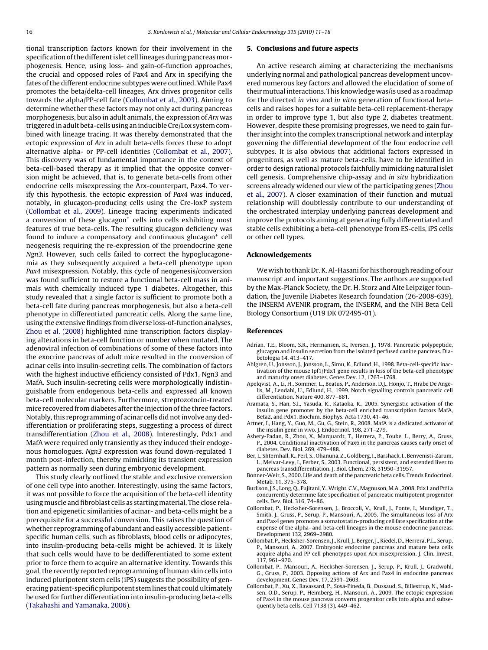<span id="page-5-0"></span>tional transcription factors known for their involvement in the specification of the different islet cell lineages during pancreas morphogenesis. Hence, using loss- and gain-of-function approaches, the crucial and opposed roles of Pax4 and Arx in specifying the fates of the different endocrine subtypes were outlined. While Pax4 promotes the beta/delta-cell lineages, Arx drives progenitor cells towards the alpha/PP-cell fate (Collombat et al., 2003). Aiming to determine whether these factors may not only act during pancreas morphogenesis, but also in adult animals, the expression of Arx was triggered in adult beta-cells using an inducible Cre/Lox system combined with lineage tracing. It was thereby demonstrated that the ectopic expression of Arx in adult beta-cells forces these to adopt alternative alpha- or PP-cell identities (Collombat et al., 2007). This discovery was of fundamental importance in the context of beta-cell-based therapy as it implied that the opposite conversion might be achieved, that is, to generate beta-cells from other endocrine cells misexpressing the Arx-counterpart, Pax4. To verify this hypothesis, the ectopic expression of Pax4 was induced, notably, in glucagon-producing cells using the Cre-loxP system (Collombat et al., 2009). Lineage tracing experiments indicated a conversion of these glucagon<sup>+</sup> cells into cells exhibiting most features of true beta-cells. The resulting glucagon deficiency was found to induce a compensatory and continuous glucagon<sup>+</sup> cell neogenesis requiring the re-expression of the proendocrine gene Ngn3. However, such cells failed to correct the hypoglucagonemia as they subsequently acquired a beta-cell phenotype upon Pax4 misexpression. Notably, this cycle of neogenesis/conversion was found sufficient to restore a functional beta-cell mass in animals with chemically induced type 1 diabetes. Altogether, this study revealed that a single factor is sufficient to promote both a beta-cell fate during pancreas morphogenesis, but also a beta-cell phenotype in differentiated pancreatic cells. Along the same line, using the extensive findings from diverse loss-of-function analyses, [Zhou et al. \(2008\)](#page-7-0) highlighted nine transcription factors displaying alterations in beta-cell function or number when mutated. The adenoviral infection of combinations of some of these factors into the exocrine pancreas of adult mice resulted in the conversion of acinar cells into insulin-secreting cells. The combination of factors with the highest inductive efficiency consisted of Pdx1, Ngn3 and MafA. Such insulin-secreting cells were morphologically indistinguishable from endogenous beta-cells and expressed all known beta-cell molecular markers. Furthermore, streptozotocin-treated mice recovered from diabetes after the injection of the three factors. Notably, this reprogramming of acinar cells did not involve any dedifferentiation or proliferating steps, suggesting a process of direct transdifferentiation ([Zhou et al., 2008\).](#page-7-0) Interestingly, Pdx1 and MafA were required only transiently as they induced their endogenous homologues. Ngn3 expression was found down-regulated 1 month post-infection, thereby mimicking its transient expression pattern as normally seen during embryonic development.

This study clearly outlined the stable and exclusive conversion of one cell type into another. Interestingly, using the same factors, it was not possible to force the acquisition of the beta-cell identity using muscle and fibroblast cells as starting material. The close relation and epigenetic similarities of acinar- and beta-cells might be a prerequisite for a successful conversion. This raises the question of whether reprogramming of abundant and easily accessible patientspecific human cells, such as fibroblasts, blood cells or adipocytes, into insulin-producing beta-cells might be achieved. It is likely that such cells would have to be dedifferentiated to some extent prior to force them to acquire an alternative identity. Towards this goal, the recently reported reprogramming of human skin cells into induced pluripotent stem cells (iPS) suggests the possibility of generating patient-specific pluripotent stem lines that could ultimately be used for further differentiation into insulin-producing beta-cells ([Takahashi and Yamanaka, 2006\).](#page-7-0)

#### **5. Conclusions and future aspects**

An active research aiming at characterizing the mechanisms underlying normal and pathological pancreas development uncovered numerous key factors and allowed the elucidation of some of their mutual interactions. This knowledge was/is used as a roadmap for the directed in vivo and in vitro generation of functional betacells and raises hopes for a suitable beta-cell replacement-therapy in order to improve type 1, but also type 2, diabetes treatment. However, despite these promising progresses, we need to gain further insight into the complex transcriptional network and interplay governing the differential development of the four endocrine cell subtypes. It is also obvious that additional factors expressed in progenitors, as well as mature beta-cells, have to be identified in order to design rational protocols faithfully mimicking natural islet cell genesis. Comprehensive chip-assay and in situ hybridization screens already widened our view of the participating genes ([Zhou](#page-7-0) [et al., 2007\).](#page-7-0) A closer examination of their function and mutual relationship will doubtlessly contribute to our understanding of the orchestrated interplay underlying pancreas development and improve the protocols aiming at generating fully differentiated and stable cells exhibiting a beta-cell phenotype from ES-cells, iPS cells or other cell types.

#### **Acknowledgements**

We wish to thank Dr. K. Al-Hasani for his thorough reading of our manuscript and important suggestions. The authors are supported by the Max-Planck Society, the Dr. H. Storz and Alte Leipziger foundation, the Juvenile Diabetes Research foundation (26-2008-639), the INSERM AVENIR program, the INSERM, and the NIH Beta Cell Biology Consortium (U19 DK 072495-01).

# **References**

- Adrian, T.E., Bloom, S.R., Hermansen, K., Iversen, J., 1978. Pancreatic polypeptide, glucagon and insulin secretion from the isolated perfused canine pancreas. Dia-betologia 14, 413–417.
- Ahlgren, U., Jonsson, J., Jonsson, L., Simu, K., Edlund, H., 1998. Beta-cell-specific inactivation of the mouse Ipf1/Pdx1 gene results in loss of the beta-cell phenotype and maturity onset diabetes. Genes Dev. 12, 1763–1768.
- Apelqvist, A., Li, H., Sommer, L., Beatus, P., Anderson, D.J., Honjo, T., Hrabe De Angelis, M., Lendahl, U., Edlund, H., 1999. Notch signalling controls pancreatic cell differentiation. Nature 400, 877–881.
- Aramata, S., Han, S.I., Yasuda, K., Kataoka, K., 2005. Synergistic activation of the insulin gene promoter by the beta-cell enriched transcription factors MafA, Beta2, and Pdx1. Biochim. Biophys. Acta 1730, 41–46.
- Artner, I., Hang, Y., Guo, M., Gu, G., Stein, R., 2008. MafA is a dedicated activator of the insulin gene in vivo. J. Endocrinol. 198, 271–279.
- Ashery-Padan, R., Zhou, X., Marquardt, T., Herrera, P., Toube, L., Berry, A., Gruss, P., 2004. Conditional inactivation of Pax6 in the pancreas causes early onset of diabetes. Dev. Biol. 269, 479–488.
- Ber, I., Shternhall, K., Perl, S., Ohanuna, Z., Goldberg, I., Barshack, I., Benvenisti-Zarum, L., Meivar-Levy, I., Ferber, S., 2003. Functional, persistent, and extended liver to pancreas transdifferentiation. J. Biol. Chem. 278, 31950–31957.
- Bonner-Weir, S., 2000. Life and death of the pancreatic beta cells. Trends Endocrinol. Metab. 11, 375–378.
- Burlison, J.S., Long, Q., Fujitani, Y.,Wright, C.V., Magnuson, M.A., 2008. Pdx1 and Ptf1a concurrently determine fate specification of pancreatic multipotent progenitor cells. Dev. Biol. 316, 74–86.
- Collombat, P., Hecksher-Sorensen, J., Broccoli, V., Krull, J., Ponte, I., Mundiger, T., Smith, J., Gruss, P., Serup, P., Mansouri, A., 2005. The simultaneous loss of Arx and Pax4 genes promotes a somatostatin-producing cell fate specification at the expense of the alpha- and beta-cell lineages in the mouse endocrine pancreas. Development 132, 2969–2980.
- Collombat, P., Hecksher-Sorensen, J., Krull, J., Berger, J., Riedel, D., Herrera, P.L., Serup, P., Mansouri, A., 2007. Embryonic endocrine pancreas and mature beta cells acquire alpha and PP cell phenotypes upon Arx misexpression. J. Clin. Invest. 117, 961–970.
- Collombat, P., Mansouri, A., Hecksher-Sorensen, J., Serup, P., Krull, J., Gradwohl, G., Gruss, P., 2003. Opposing actions of Arx and Pax4 in endocrine pancreas development. Genes Dev. 17, 2591–2603.
- Collombat, P., Xu, X., Ravassard, P., Sosa-Pineda, B., Dussaud, S., Billestrup, N., Madsen, O.D., Serup, P., Heimberg, H., Mansouri, A., 2009. The ectopic expression of Pax4 in the mouse pancreas converts progenitor cells into alpha and subsequently beta cells. Cell 7138 (3), 449–462.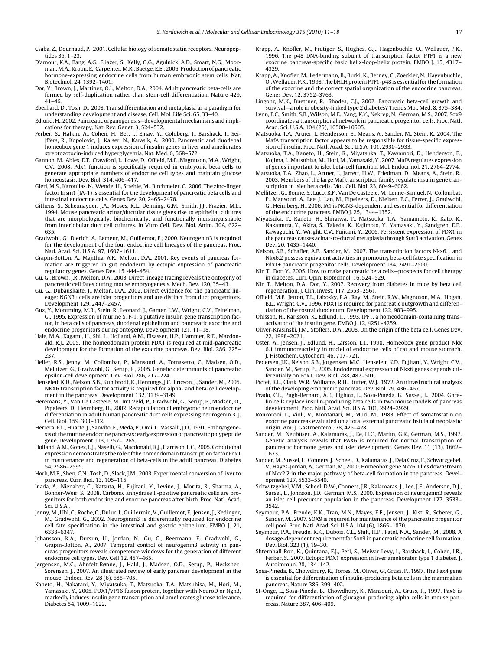- <span id="page-6-0"></span>Csaba, Z., Dournaud, P., 2001. Cellular biology of somatostatin receptors. Neuropeptides 35, 1–23.
- D'amour, K.A., Bang, A.G., Eliazer, S., Kelly, O.G., Agulnick, A.D., Smart, N.G., Moorman, M.A., Kroon, E., Carpenter, M.K., Baetge, E.E., 2006. Production of pancreatic hormone-expressing endocrine cells from human embryonic stem cells. Nat. Biotechnol. 24, 1392–1401.
- Dor, Y., Brown, J., Martinez, O.I., Melton, D.A., 2004. Adult pancreatic beta-cells are formed by self-duplication rather than stem-cell differentiation. Nature 429, 41–46.
- Eberhard, D., Tosh, D., 2008. Transdifferentiation and metaplasia as a paradigm for understanding development and disease. Cell. Mol. Life Sci. 65, 33–40.
- Edlund, H., 2002. Pancreatic organogenesis—developmental mechanisms and implications for therapy. Nat. Rev. Genet. 3, 524–532.
- Ferber, S., Halkin, A., Cohen, H., Ber, I., Einav, Y., Goldberg, I., Barshack, I., Seijffers, R., Kopolovic, J., Kaiser, N., Karasik, A., 2000. Pancreatic and duodenal homeobox gene 1 induces expression of insulin genes in liver and ameliorates streptozotocin-induced hyperglycemia. Nat. Med. 6, 568–572.
- Gannon, M., Ables, E.T., Crawford, L., Lowe, D., Offield, M.F., Magnuson, M.A., Wright, C.V., 2008. Pdx1 function is specifically required in embryonic beta cells to generate appropriate numbers of endocrine cell types and maintain glucose homeostasis. Dev. Biol. 314, 406–417.
- Gierl, M.S., Karoulias, N., Wende, H., Strehle, M., Birchmeier, C., 2006. The zinc-finger factor Insm1 (IA-1) is essential for the development of pancreatic beta cells and intestinal endocrine cells. Genes Dev. 20, 2465–2478.
- Githens, S., Schexnayder, J.A., Moses, R.L., Denning, G.M., Smith, J.J., Frazier, M.L., 1994. Mouse pancreatic acinar/ductular tissue gives rise to epithelial cultures that are morphologically, biochemically, and functionally indistinguishable from interlobular duct cell cultures. In Vitro Cell. Dev. Biol. Anim. 30A, 622– 635.
- Gradwohl, G., Dierich, A., Lemeur, M., Guillemot, F., 2000. Neurogenin3 is required for the development of the four endocrine cell lineages of the pancreas. Proc. Natl. Acad. Sci. U.S.A. 97, 1607–1611.
- Grapin-Botton, A., Majithia, A.R., Melton, D.A., 2001. Key events of pancreas formation are triggered in gut endoderm by ectopic expression of pancreatic regulatory genes. Genes Dev. 15, 444–454.
- Gu, G., Brown, J.R., Melton, D.A., 2003. Direct lineage tracing reveals the ontogeny of pancreatic cell fates during mouse embryogenesis. Mech. Dev. 120, 35–43.
- Gu, G., Dubauskaite, J., Melton, D.A., 2002. Direct evidence for the pancreatic lineage: NGN3+ cells are islet progenitors and are distinct from duct progenitors. Development 129, 2447–2457.
- Guz, Y., Montminy, M.R., Stein, R., Leonard, J., Gamer, L.W., Wright, C.V., Teitelman, G., 1995. Expression of murine STF-1, a putative insulin gene transcription factor, in beta cells of pancreas, duodenal epithelium and pancreatic exocrine and
- endocrine progenitors during ontogeny. Development 121, 11–18. Hale, M.A., Kagami, H., Shi, L., Holland, A.M., Elsasser, H.P., Hammer, R.E., Macdonald, R.J., 2005. The homeodomain protein PDX1 is required at mid-pancreatic development for the formation of the exocrine pancreas. Dev. Biol. 286, 225– 237.
- Heller, R.S., Jenny, M., Collombat, P., Mansouri, A., Tomasetto, C., Madsen, O.D., Mellitzer, G., Gradwohl, G., Serup, P., 2005. Genetic determinants of pancreatic epsilon-cell development. Dev. Biol. 286, 217–224.
- Henseleit, K.D., Nelson, S.B., Kuhlbrodt, K., Hennings, J.C., Ericson, J., Sander, M., 2005. NKX6 transcription factor activity is required for alpha- and beta-cell development in the pancreas. Development 132, 3139–3149.
- Heremans, Y., Van De Casteele, M., In't Veld, P., Gradwohl, G., Serup, P., Madsen, O., Pipeleers, D., Heimberg, H., 2002. Recapitulation of embryonic neuroendocrine differentiation in adult human pancreatic duct cells expressing neurogenin 3. J. Cell. Biol. 159, 303–312.
- Herrera, P.L., Huarte, J., Sanvito, F., Meda, P., Orci, L., Vassalli, J.D., 1991. Embryogenesis of the murine endocrine pancreas: early expression of pancreatic polypeptide gene. Development 113, 1257–1265.
- Holland, A.M., Gonez, L.J., Naselli, G.,Macdonald, R.J., Harrison, L.C., 2005. Conditional expression demonstrates the role of the homeodomain transcription factor Pdx1 in maintenance and regeneration of beta-cells in the adult pancreas. Diabetes 54, 2586–2595.
- Horb, M.E., Shen, C.N., Tosh, D., Slack, J.M., 2003. Experimental conversion of liver to pancreas. Curr. Biol. 13, 105–115.
- Inada, A., Nienaber, C., Katsuta, H., Fujitani, Y., Levine, J., Morita, R., Sharma, A., Bonner-Weir, S., 2008. Carbonic anhydrase II-positive pancreatic cells are progenitors for both endocrine and exocrine pancreas after birth. Proc. Natl. Acad. Sci. U.S.A..
- Jenny, M., Uhl, C., Roche, C., Duluc, I., Guillermin, V., Guillemot, F., Jensen, J., Kedinger, M., Gradwohl, G., 2002. Neurogenin3 is differentially required for endocrine cell fate specification in the intestinal and gastric epithelium. EMBO J. 21, 6338–6347.
- Johansson, K.A., Dursun, U., Jordan, N., Gu, G., Beermann, F., Gradwohl, G., Grapin-Botton, A., 2007. Temporal control of neurogenin3 activity in pancreas progenitors reveals competence windows for the generation of different endocrine cell types. Dev. Cell 12, 457–465.
- Jørgensen, M.C., Ahnfelt-Rønne, J., Hald, J., Madsen, O.D., Serup, P., Hecksher-Sørensen, J., 2007. An illustrated review of early pancreas development in the mouse. Endocr. Rev. 28 (6), 685–705.
- Kaneto, H., Nakatani, Y., Miyatsuka, T., Matsuoka, T.A., Matsuhisa, M., Hori, M., Yamasaki, Y., 2005. PDX1/VP16 fusion protein, together with NeuroD or Ngn3, markedly induces insulin gene transcription and ameliorates glucose tolerance. Diabetes 54, 1009–1022.
- Krapp, A., Knofler, M., Frutiger, S., Hughes, G.J., Hagenbuchle, O., Wellauer, P.K., 1996. The p48 DNA-binding subunit of transcription factor PTF1 is a new exocrine pancreas-specific basic helix-loop-helix protein. EMBO J. 15, 4317– 4329.
- Krapp, A., Knofler, M., Ledermann, B., Burki, K., Berney, C., Zoerkler, N., Hagenbuchle, O.,Wellauer, P.K., 1998. The bHLH protein PTF1-p48 is essential for the formation of the exocrine and the correct spatial organization of the endocrine pancreas. Genes Dev. 12, 3752–3763.
- Lingohr, M.K., Buettner, R., Rhodes, C.J., 2002. Pancreatic beta-cell growth and survival—a role in obesity-linked type 2 diabetes? Trends Mol. Med. 8, 375–384.
- Lynn, F.C., Smith, S.B., Wilson, M.E., Yang, K.Y., Nekrep, N., German, M.S., 2007. Sox9 coordinates a transcriptional network in pancreatic progenitor cells. Proc. Natl. Acad. Sci. U.S.A. 104 (25), 10500–10505.
- Matsuoka, T.A., Artner, I., Henderson, E., Means, A., Sander, M., Stein, R., 2004. The MafA transcription factor appears to be responsible for tissue-specific expression of insulin. Proc. Natl. Acad. Sci. U.S.A. 101, 2930–2933.
- Matsuoka, T.A., Kaneto, H., Stein, R., Miyatsuka, T., Kawamori, D., Henderson, E., Kojima, I., Matsuhisa, M., Hori, M., Yamasaki, Y., 2007. MafA regulates expression of genes important to islet beta-cell function. Mol. Endocrinol. 21, 2764–2774.
- Matsuoka, T.A., Zhao, L., Artner, I., Jarrett, H.W., Friedman, D., Means, A., Stein, R., 2003. Members of the large Maf transcription family regulate insulin gene transcription in islet beta cells. Mol. Cell. Biol. 23, 6049–6062.
- Mellitzer, G., Bonne, S., Luco, R.F., Van De Casteele, M., Lenne-Samuel, N., Collombat, P., Mansouri, A., Lee, J., Lan, M., Pipeleers, D., Nielsen, F.C., Ferrer, J., Gradwohl, G., Heimberg, H., 2006. IA1 is NGN3-dependent and essential for differentiation of the endocrine pancreas. EMBO J. 25, 1344–1352.
- Miyatsuka, T., Kaneto, H., Shiraiwa, T., Matsuoka, T.A., Yamamoto, K., Kato, K., Nakamura, Y., Akira, S., Takeda, K., Kajimoto, Y., Yamasaki, Y., Sandgren, E.P., Kawaguchi, Y., Wright, C.V., Fujitani, Y., 2006. Persistent expression of PDX1 in the pancreas causes acinar-to-ductal metaplasia through Stat3 activation. Genes Dev. 20, 1435–1440.
- Nelson, S.B., Schaffer, A.E., Sander, M., 2007. The transcription factors Nkx6.1 and Nkx6.2 possess equivalent activities in promoting beta-cell fate specification in Pdx1+ pancreatic progenitor cells. Development 134, 2491–2500.
- Nir, T., Dor, Y., 2005. How to make pancreatic beta cells—prospects for cell therapy in diabetes. Curr. Opin. Biotechnol. 16, 524–529.
- Nir, T., Melton, D.A., Dor, Y., 2007. Recovery from diabetes in mice by beta cell regeneration. J. Clin. Invest. 117, 2553–2561.
- Offield, M.F., Jetton, T.L., Labosky, P.A., Ray, M., Stein, R.W., Magnuson, M.A., Hogan, B.L., Wright, C.V., 1996. PDX1 is required for pancreatic outgrowth and differentiation of the rostral duodenum. Development 122, 983–995.
- Ohlsson, H., Karlsson, K., Edlund, T., 1993. IPF1, a homeodomain-containing transactivator of the insulin gene. EMBO J. 12, 4251–4259.
- Oliver-Krasinski, J.M., Stoffers, D.A., 2008. On the origin of the beta cell. Genes Dev. 22, 1998–2021.
- Oster, A., Jensen, J., Edlund, H., Larsson, L.I., 1998. Homeobox gene product Nkx 6.1 immunoreactivity in nuclei of endocrine cells of rat and mouse stomach. J. Histochem. Cytochem. 46, 717–721.
- Pedersen, J.K., Nelson, S.B., Jorgensen, M.C., Henseleit, K.D., Fujitani, Y., Wright, C.V., Sander, M., Serup, P., 2005. Endodermal expression of Nkx6 genes depends differentially on Pdx1. Dev. Biol. 288, 487–501.
- Pictet, R.L., Clark, W.R., Williams, R.H., Rutter, W.J., 1972. An ultrastructural analysis of the developing embryonic pancreas. Dev. Biol. 29, 436–467.
- Prado, C.L., Pugh-Bernard, A.E., Elghazi, L., Sosa-Pineda, B., Sussel, L., 2004. Ghrelin cells replace insulin-producing beta cells in two mouse models of pancreas development. Proc. Natl. Acad. Sci. U.S.A. 101, 2924–2929.
- Roncoroni, L., Violi, V., Montanari, M., Muri, M., 1983. Effect of somatostatin on exocrine pancreas evaluated on a total external pancreatic fistula of neoplastic origin. Am. J. Gastroenterol. 78, 425–428.
- Sander, M., Neubüser, A., Kalamaras, J., Ee, H.C., Martin, G.R., German, M.S., 1997. Genetic analysis reveals that PAX6 is required for normal transcription of pancreatic hormone genes and islet development. Genes Dev. 11 (13), 1662– 1673.
- Sander, M., Sussel, L., Conners, J., Scheel, D., Kalamaras, J., Dela Cruz, F., Schwitzgebel, V., Hayes-Jordan, A., German, M., 2000. Homeobox gene Nkx6.1 lies downstream of Nkx2.2 in the major pathway of beta-cell formation in the pancreas. Development 127, 5533–5540.
- Schwitzgebel, V.M., Scheel, D.W., Conners, J.R., Kalamaras, J., Lee, J.E., Anderson, D.J., Sussel, L., Johnson, J.D., German, M.S., 2000. Expression of neurogenin3 reveals an islet cell precursor population in the pancreas. Development 127, 3533– 3542.
- Seymour, P.A., Freude, K.K., Tran, M.N., Mayes, E.E., Jensen, J., Kist, R., Scherer, G., Sander, M., 2007. SOX9 is required for maintenance of the pancreatic progenitor cell pool. Proc. Natl. Acad. Sci. U.S.A. 104 (6), 1865–1870.
- Seymour, P.A., Freude, K.K., Dubois, C.L., Shih, H.P., Patel, N.A., Sander, M., 2008. A dosage-dependent requirement for Sox9 in pancreatic endocrine cell formation. Dev. Biol. 323 (1), 19–30.
- Shternhall-Ron, K., Quintana, F.J., Perl, S., Meivar-Levy, I., Barshack, I., Cohen, I.R., Ferber, S., 2007. Ectopic PDX1 expression in liver ameliorates type 1 diabetes. J. Autoimmun. 28, 134–142.
- Sosa-Pineda, B., Chowdhury, K., Torres, M., Oliver, G., Gruss, P., 1997. The Pax4 gene is essential for differentiation of insulin-producing beta cells in the mammalian pancreas. Nature 386, 399–402.
- St-Onge, L., Sosa-Pineda, B., Chowdhury, K., Mansouri, A., Gruss, P., 1997. Pax6 is required for differentiation of glucagon-producing alpha-cells in mouse pancreas. Nature 387, 406–409.